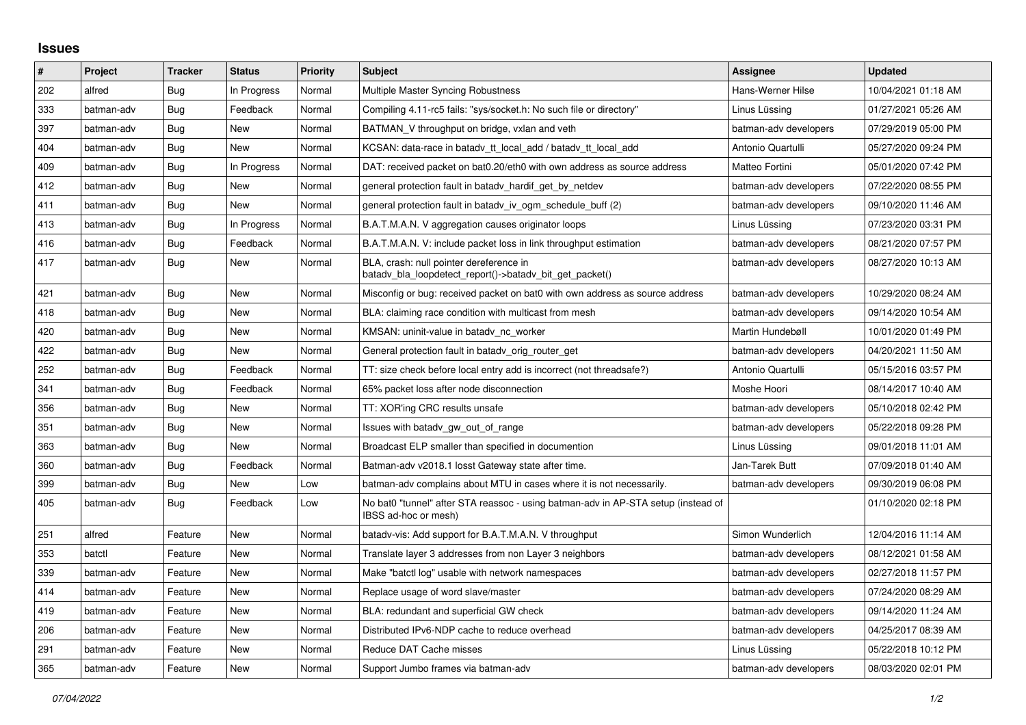## **Issues**

| $\pmb{\sharp}$ | Project    | <b>Tracker</b> | <b>Status</b> | Priority | <b>Subject</b>                                                                                            | Assignee              | <b>Updated</b>      |
|----------------|------------|----------------|---------------|----------|-----------------------------------------------------------------------------------------------------------|-----------------------|---------------------|
| 202            | alfred     | Bug            | In Progress   | Normal   | Multiple Master Syncing Robustness                                                                        | Hans-Werner Hilse     | 10/04/2021 01:18 AM |
| 333            | batman-adv | <b>Bug</b>     | Feedback      | Normal   | Compiling 4.11-rc5 fails: "sys/socket.h: No such file or directory"                                       | Linus Lüssing         | 01/27/2021 05:26 AM |
| 397            | batman-adv | Bug            | New           | Normal   | BATMAN V throughput on bridge, vxlan and veth                                                             | batman-adv developers | 07/29/2019 05:00 PM |
| 404            | batman-adv | Bug            | <b>New</b>    | Normal   | KCSAN: data-race in batadv_tt_local_add / batadv_tt_local_add                                             | Antonio Quartulli     | 05/27/2020 09:24 PM |
| 409            | batman-adv | Bug            | In Progress   | Normal   | DAT: received packet on bat0.20/eth0 with own address as source address                                   | Matteo Fortini        | 05/01/2020 07:42 PM |
| 412            | batman-adv | Bug            | New           | Normal   | general protection fault in batady_hardif_get_by_netdev                                                   | batman-adv developers | 07/22/2020 08:55 PM |
| 411            | batman-adv | Bug            | <b>New</b>    | Normal   | general protection fault in batady iv ogm schedule buff (2)                                               | batman-adv developers | 09/10/2020 11:46 AM |
| 413            | batman-adv | Bug            | In Progress   | Normal   | B.A.T.M.A.N. V aggregation causes originator loops                                                        | Linus Lüssing         | 07/23/2020 03:31 PM |
| 416            | batman-adv | Bug            | Feedback      | Normal   | B.A.T.M.A.N. V: include packet loss in link throughput estimation                                         | batman-adv developers | 08/21/2020 07:57 PM |
| 417            | batman-adv | Bug            | New           | Normal   | BLA, crash: null pointer dereference in<br>batady_bla_loopdetect_report()->batady_bit_get_packet()        | batman-adv developers | 08/27/2020 10:13 AM |
| 421            | batman-adv | Bug            | <b>New</b>    | Normal   | Misconfig or bug: received packet on bat0 with own address as source address                              | batman-adv developers | 10/29/2020 08:24 AM |
| 418            | batman-adv | Bug            | <b>New</b>    | Normal   | BLA: claiming race condition with multicast from mesh                                                     | batman-adv developers | 09/14/2020 10:54 AM |
| 420            | batman-adv | <b>Bug</b>     | <b>New</b>    | Normal   | KMSAN: uninit-value in batadv_nc_worker                                                                   | Martin Hundebøll      | 10/01/2020 01:49 PM |
| 422            | batman-adv | Bug            | New           | Normal   | General protection fault in batady orig router get                                                        | batman-adv developers | 04/20/2021 11:50 AM |
| 252            | batman-adv | Bug            | Feedback      | Normal   | TT: size check before local entry add is incorrect (not threadsafe?)                                      | Antonio Quartulli     | 05/15/2016 03:57 PM |
| 341            | batman-adv | Bug            | Feedback      | Normal   | 65% packet loss after node disconnection                                                                  | Moshe Hoori           | 08/14/2017 10:40 AM |
| 356            | batman-adv | Bug            | New           | Normal   | TT: XOR'ing CRC results unsafe                                                                            | batman-adv developers | 05/10/2018 02:42 PM |
| 351            | batman-adv | <b>Bug</b>     | <b>New</b>    | Normal   | Issues with batady gw out of range                                                                        | batman-adv developers | 05/22/2018 09:28 PM |
| 363            | batman-adv | <b>Bug</b>     | <b>New</b>    | Normal   | Broadcast ELP smaller than specified in documention                                                       | Linus Lüssing         | 09/01/2018 11:01 AM |
| 360            | batman-adv | <b>Bug</b>     | Feedback      | Normal   | Batman-adv v2018.1 losst Gateway state after time.                                                        | Jan-Tarek Butt        | 07/09/2018 01:40 AM |
| 399            | batman-adv | <b>Bug</b>     | <b>New</b>    | Low      | batman-adv complains about MTU in cases where it is not necessarily.                                      | batman-adv developers | 09/30/2019 06:08 PM |
| 405            | batman-adv | Bug            | Feedback      | Low      | No bat0 "tunnel" after STA reassoc - using batman-adv in AP-STA setup (instead of<br>IBSS ad-hoc or mesh) |                       | 01/10/2020 02:18 PM |
| 251            | alfred     | Feature        | New           | Normal   | batady-vis: Add support for B.A.T.M.A.N. V throughput                                                     | Simon Wunderlich      | 12/04/2016 11:14 AM |
| 353            | batctl     | Feature        | <b>New</b>    | Normal   | Translate layer 3 addresses from non Layer 3 neighbors                                                    | batman-adv developers | 08/12/2021 01:58 AM |
| 339            | batman-adv | Feature        | <b>New</b>    | Normal   | Make "batctl log" usable with network namespaces                                                          | batman-adv developers | 02/27/2018 11:57 PM |
| 414            | batman-adv | Feature        | New           | Normal   | Replace usage of word slave/master                                                                        | batman-adv developers | 07/24/2020 08:29 AM |
| 419            | batman-adv | Feature        | <b>New</b>    | Normal   | BLA: redundant and superficial GW check                                                                   | batman-adv developers | 09/14/2020 11:24 AM |
| 206            | batman-adv | Feature        | New           | Normal   | Distributed IPv6-NDP cache to reduce overhead                                                             | batman-adv developers | 04/25/2017 08:39 AM |
| 291            | batman-adv | Feature        | <b>New</b>    | Normal   | Reduce DAT Cache misses                                                                                   | Linus Lüssing         | 05/22/2018 10:12 PM |
| 365            | batman-adv | Feature        | <b>New</b>    | Normal   | Support Jumbo frames via batman-adv                                                                       | batman-adv developers | 08/03/2020 02:01 PM |